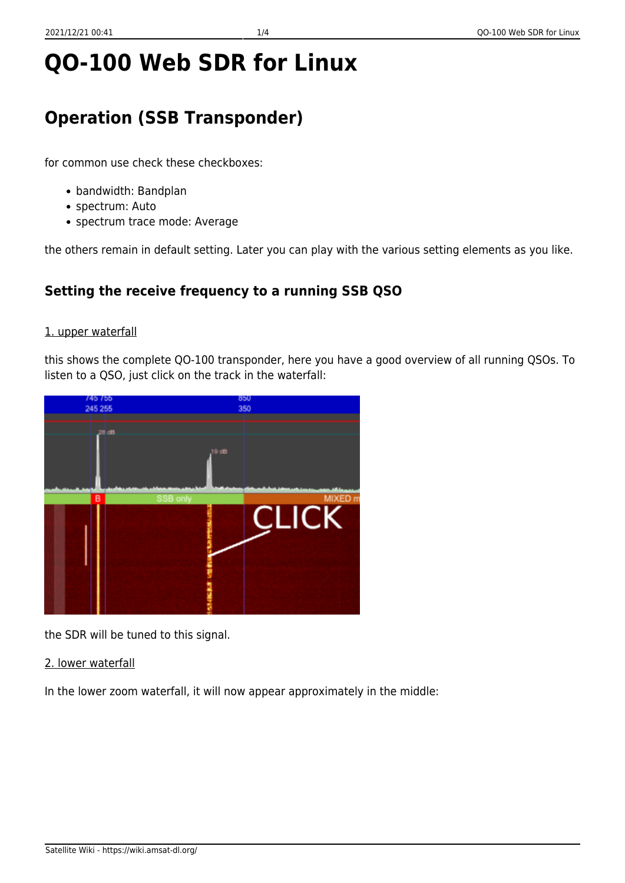# **QO-100 Web SDR for Linux**

# **Operation (SSB Transponder)**

for common use check these checkboxes:

- bandwidth: Bandplan
- spectrum: Auto
- spectrum trace mode: Average

the others remain in default setting. Later you can play with the various setting elements as you like.

## **Setting the receive frequency to a running SSB QSO**

#### 1. upper waterfall

this shows the complete QO-100 transponder, here you have a good overview of all running QSOs. To listen to a QSO, just click on the track in the waterfall:



the SDR will be tuned to this signal.

2. lower waterfall

In the lower zoom waterfall, it will now appear approximately in the middle: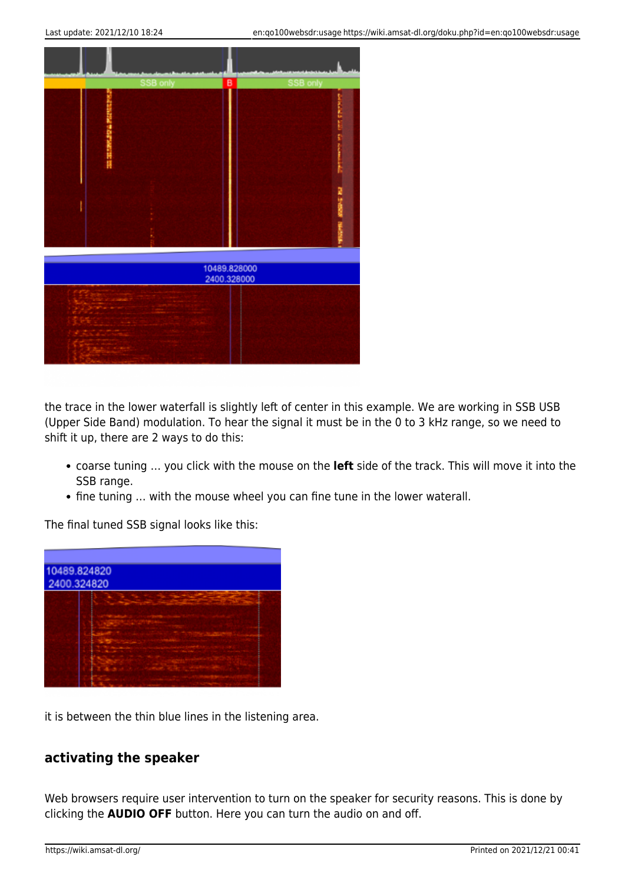

the trace in the lower waterfall is slightly left of center in this example. We are working in SSB USB (Upper Side Band) modulation. To hear the signal it must be in the 0 to 3 kHz range, so we need to shift it up, there are 2 ways to do this:

- coarse tuning … you click with the mouse on the **left** side of the track. This will move it into the SSB range.
- fine tuning … with the mouse wheel you can fine tune in the lower waterall.

The final tuned SSB signal looks like this:

| 10489.824820<br>2400.324820 |  |  |
|-----------------------------|--|--|
|                             |  |  |

it is between the thin blue lines in the listening area.

#### **activating the speaker**

Web browsers require user intervention to turn on the speaker for security reasons. This is done by clicking the **AUDIO OFF** button. Here you can turn the audio on and off.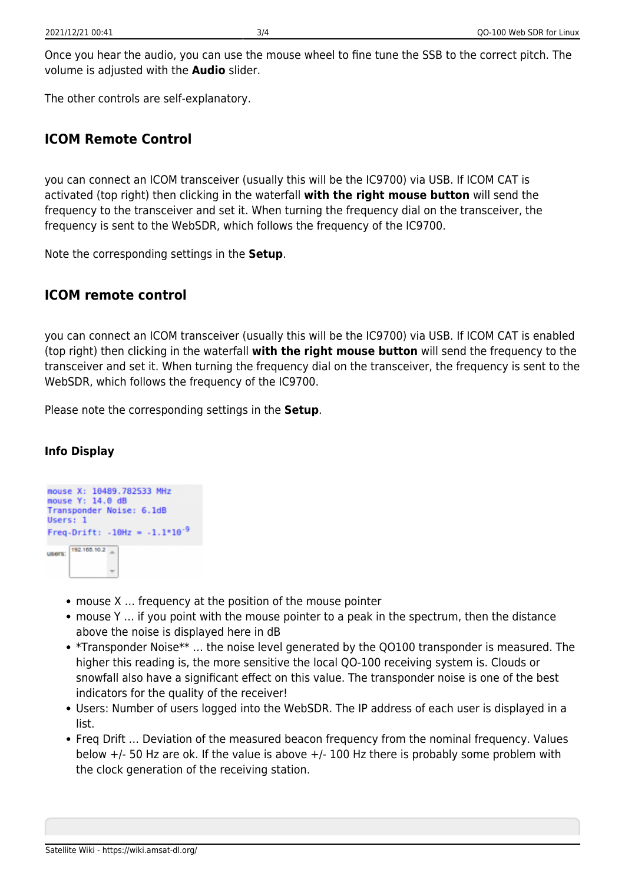Once you hear the audio, you can use the mouse wheel to fine tune the SSB to the correct pitch. The volume is adjusted with the **Audio** slider.

The other controls are self-explanatory.

#### **ICOM Remote Control**

you can connect an ICOM transceiver (usually this will be the IC9700) via USB. If ICOM CAT is activated (top right) then clicking in the waterfall **with the right mouse button** will send the frequency to the transceiver and set it. When turning the frequency dial on the transceiver, the frequency is sent to the WebSDR, which follows the frequency of the IC9700.

Note the corresponding settings in the **Setup**.

### **ICOM remote control**

you can connect an ICOM transceiver (usually this will be the IC9700) via USB. If ICOM CAT is enabled (top right) then clicking in the waterfall **with the right mouse button** will send the frequency to the transceiver and set it. When turning the frequency dial on the transceiver, the frequency is sent to the WebSDR, which follows the frequency of the IC9700.

Please note the corresponding settings in the **Setup**.

#### **Info Display**



- mouse X … frequency at the position of the mouse pointer
- mouse Y … if you point with the mouse pointer to a peak in the spectrum, then the distance above the noise is displayed here in dB
- \*Transponder Noise\*\* … the noise level generated by the QO100 transponder is measured. The higher this reading is, the more sensitive the local QO-100 receiving system is. Clouds or snowfall also have a significant effect on this value. The transponder noise is one of the best indicators for the quality of the receiver!
- Users: Number of users logged into the WebSDR. The IP address of each user is displayed in a list.
- Freq Drift ... Deviation of the measured beacon frequency from the nominal frequency. Values below  $+/-$  50 Hz are ok. If the value is above  $+/-$  100 Hz there is probably some problem with the clock generation of the receiving station.